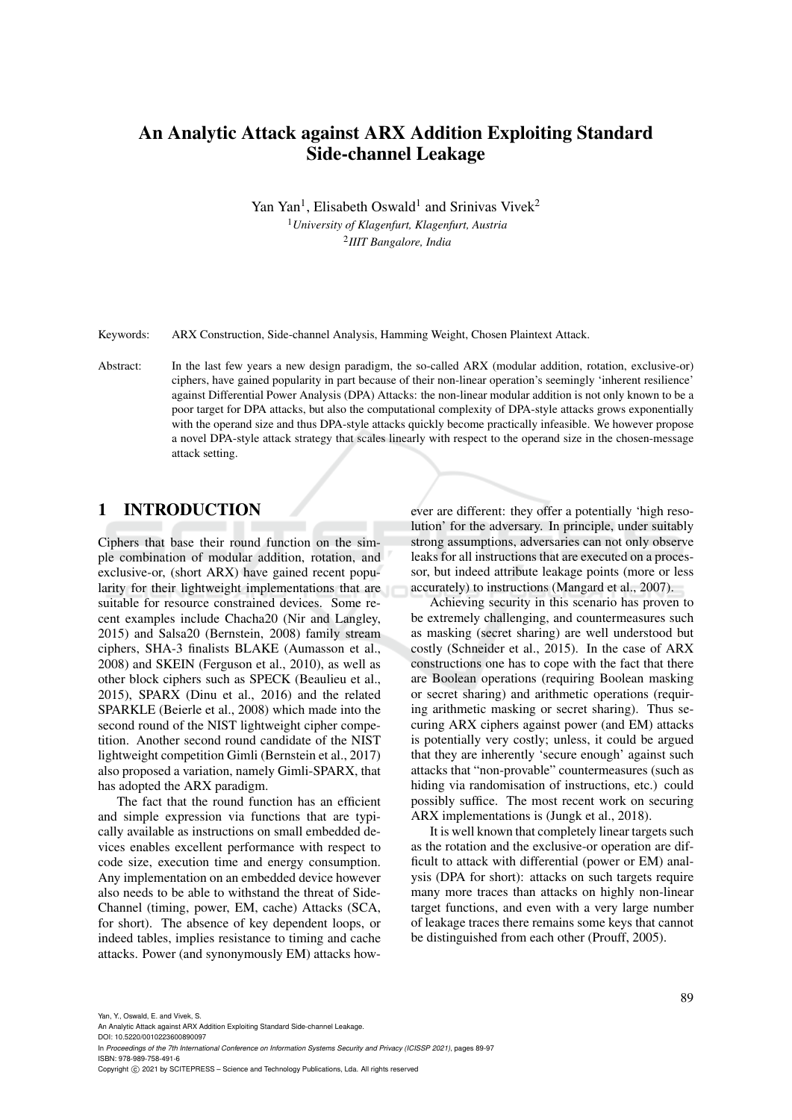# An Analytic Attack against ARX Addition Exploiting Standard Side-channel Leakage

Yan Yan<sup>1</sup>, Elisabeth Oswald<sup>1</sup> and Srinivas Vivek<sup>2</sup> <sup>1</sup>*University of Klagenfurt, Klagenfurt, Austria* 2 *IIIT Bangalore, India*

Keywords: ARX Construction, Side-channel Analysis, Hamming Weight, Chosen Plaintext Attack.

Abstract: In the last few years a new design paradigm, the so-called ARX (modular addition, rotation, exclusive-or) ciphers, have gained popularity in part because of their non-linear operation's seemingly 'inherent resilience' against Differential Power Analysis (DPA) Attacks: the non-linear modular addition is not only known to be a poor target for DPA attacks, but also the computational complexity of DPA-style attacks grows exponentially with the operand size and thus DPA-style attacks quickly become practically infeasible. We however propose a novel DPA-style attack strategy that scales linearly with respect to the operand size in the chosen-message attack setting.

## 1 INTRODUCTION

Ciphers that base their round function on the simple combination of modular addition, rotation, and exclusive-or, (short ARX) have gained recent popularity for their lightweight implementations that are suitable for resource constrained devices. Some recent examples include Chacha20 (Nir and Langley, 2015) and Salsa20 (Bernstein, 2008) family stream ciphers, SHA-3 finalists BLAKE (Aumasson et al., 2008) and SKEIN (Ferguson et al., 2010), as well as other block ciphers such as SPECK (Beaulieu et al., 2015), SPARX (Dinu et al., 2016) and the related SPARKLE (Beierle et al., 2008) which made into the second round of the NIST lightweight cipher competition. Another second round candidate of the NIST lightweight competition Gimli (Bernstein et al., 2017) also proposed a variation, namely Gimli-SPARX, that has adopted the ARX paradigm.

The fact that the round function has an efficient and simple expression via functions that are typically available as instructions on small embedded devices enables excellent performance with respect to code size, execution time and energy consumption. Any implementation on an embedded device however also needs to be able to withstand the threat of Side-Channel (timing, power, EM, cache) Attacks (SCA, for short). The absence of key dependent loops, or indeed tables, implies resistance to timing and cache attacks. Power (and synonymously EM) attacks however are different: they offer a potentially 'high resolution' for the adversary. In principle, under suitably strong assumptions, adversaries can not only observe leaks for all instructions that are executed on a processor, but indeed attribute leakage points (more or less accurately) to instructions (Mangard et al., 2007).

Achieving security in this scenario has proven to be extremely challenging, and countermeasures such as masking (secret sharing) are well understood but costly (Schneider et al., 2015). In the case of ARX constructions one has to cope with the fact that there are Boolean operations (requiring Boolean masking or secret sharing) and arithmetic operations (requiring arithmetic masking or secret sharing). Thus securing ARX ciphers against power (and EM) attacks is potentially very costly; unless, it could be argued that they are inherently 'secure enough' against such attacks that "non-provable" countermeasures (such as hiding via randomisation of instructions, etc.) could possibly suffice. The most recent work on securing ARX implementations is (Jungk et al., 2018).

It is well known that completely linear targets such as the rotation and the exclusive-or operation are difficult to attack with differential (power or EM) analysis (DPA for short): attacks on such targets require many more traces than attacks on highly non-linear target functions, and even with a very large number of leakage traces there remains some keys that cannot be distinguished from each other (Prouff, 2005).

Yan, Y., Oswald, E. and Vivek, S.

An Analytic Attack against ARX Addition Exploiting Standard Side-channel Leakage.

DOI: 10.5220/0010223600890097

In *Proceedings of the 7th International Conference on Information Systems Security and Privacy (ICISSP 2021)*, pages 89-97 ISBN: 978-989-758-491-6

Copyright © 2021 by SCITEPRESS - Science and Technology Publications, Lda. All rights reserved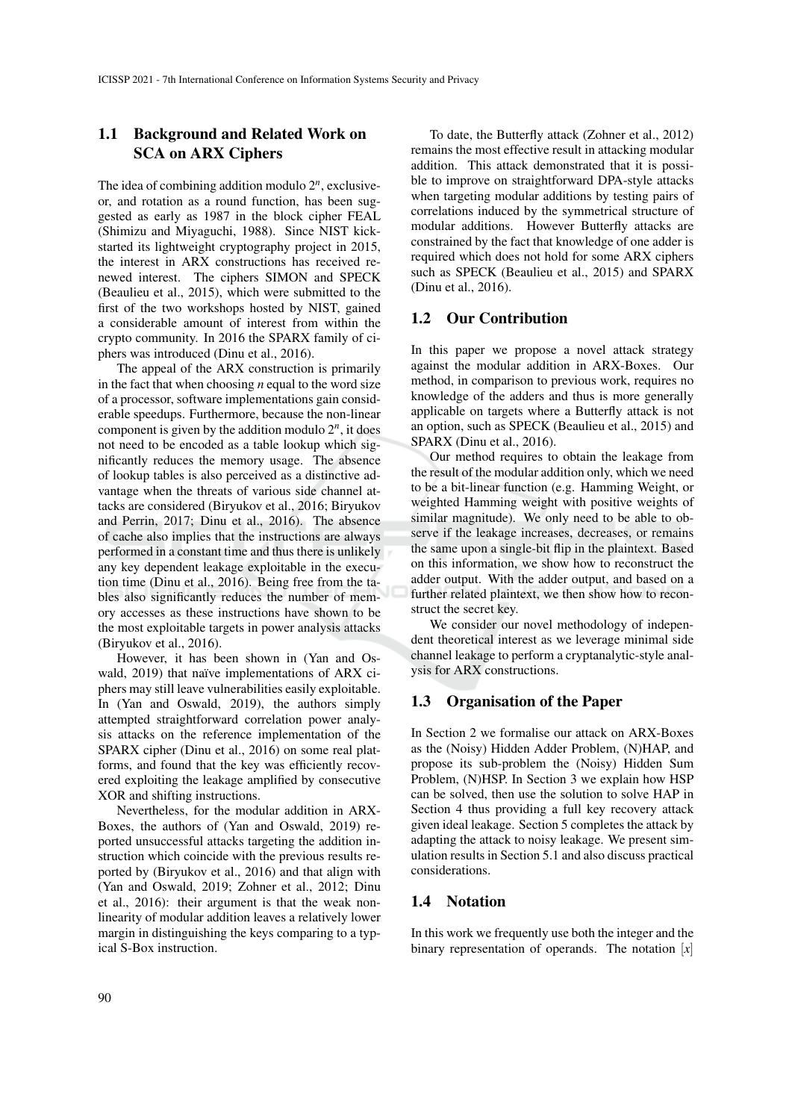## 1.1 Background and Related Work on SCA on ARX Ciphers

The idea of combining addition modulo 2*<sup>n</sup>* , exclusiveor, and rotation as a round function, has been suggested as early as 1987 in the block cipher FEAL (Shimizu and Miyaguchi, 1988). Since NIST kickstarted its lightweight cryptography project in 2015, the interest in ARX constructions has received renewed interest. The ciphers SIMON and SPECK (Beaulieu et al., 2015), which were submitted to the first of the two workshops hosted by NIST, gained a considerable amount of interest from within the crypto community. In 2016 the SPARX family of ciphers was introduced (Dinu et al., 2016).

The appeal of the ARX construction is primarily in the fact that when choosing *n* equal to the word size of a processor, software implementations gain considerable speedups. Furthermore, because the non-linear component is given by the addition modulo  $2^n$ , it does not need to be encoded as a table lookup which significantly reduces the memory usage. The absence of lookup tables is also perceived as a distinctive advantage when the threats of various side channel attacks are considered (Biryukov et al., 2016; Biryukov and Perrin, 2017; Dinu et al., 2016). The absence of cache also implies that the instructions are always performed in a constant time and thus there is unlikely any key dependent leakage exploitable in the execution time (Dinu et al., 2016). Being free from the tables also significantly reduces the number of memory accesses as these instructions have shown to be the most exploitable targets in power analysis attacks (Biryukov et al., 2016).

However, it has been shown in (Yan and Oswald, 2019) that naïve implementations of ARX ciphers may still leave vulnerabilities easily exploitable. In (Yan and Oswald, 2019), the authors simply attempted straightforward correlation power analysis attacks on the reference implementation of the SPARX cipher (Dinu et al., 2016) on some real platforms, and found that the key was efficiently recovered exploiting the leakage amplified by consecutive XOR and shifting instructions.

Nevertheless, for the modular addition in ARX-Boxes, the authors of (Yan and Oswald, 2019) reported unsuccessful attacks targeting the addition instruction which coincide with the previous results reported by (Biryukov et al., 2016) and that align with (Yan and Oswald, 2019; Zohner et al., 2012; Dinu et al., 2016): their argument is that the weak nonlinearity of modular addition leaves a relatively lower margin in distinguishing the keys comparing to a typical S-Box instruction.

To date, the Butterfly attack (Zohner et al., 2012) remains the most effective result in attacking modular addition. This attack demonstrated that it is possible to improve on straightforward DPA-style attacks when targeting modular additions by testing pairs of correlations induced by the symmetrical structure of modular additions. However Butterfly attacks are constrained by the fact that knowledge of one adder is required which does not hold for some ARX ciphers such as SPECK (Beaulieu et al., 2015) and SPARX (Dinu et al., 2016).

#### 1.2 Our Contribution

In this paper we propose a novel attack strategy against the modular addition in ARX-Boxes. Our method, in comparison to previous work, requires no knowledge of the adders and thus is more generally applicable on targets where a Butterfly attack is not an option, such as SPECK (Beaulieu et al., 2015) and SPARX (Dinu et al., 2016).

Our method requires to obtain the leakage from the result of the modular addition only, which we need to be a bit-linear function (e.g. Hamming Weight, or weighted Hamming weight with positive weights of similar magnitude). We only need to be able to observe if the leakage increases, decreases, or remains the same upon a single-bit flip in the plaintext. Based on this information, we show how to reconstruct the adder output. With the adder output, and based on a further related plaintext, we then show how to reconstruct the secret key.

We consider our novel methodology of independent theoretical interest as we leverage minimal side channel leakage to perform a cryptanalytic-style analysis for ARX constructions.

#### 1.3 Organisation of the Paper

In Section 2 we formalise our attack on ARX-Boxes as the (Noisy) Hidden Adder Problem, (N)HAP, and propose its sub-problem the (Noisy) Hidden Sum Problem, (N)HSP. In Section 3 we explain how HSP can be solved, then use the solution to solve HAP in Section 4 thus providing a full key recovery attack given ideal leakage. Section 5 completes the attack by adapting the attack to noisy leakage. We present simulation results in Section 5.1 and also discuss practical considerations.

### 1.4 Notation

In this work we frequently use both the integer and the binary representation of operands. The notation [*x*]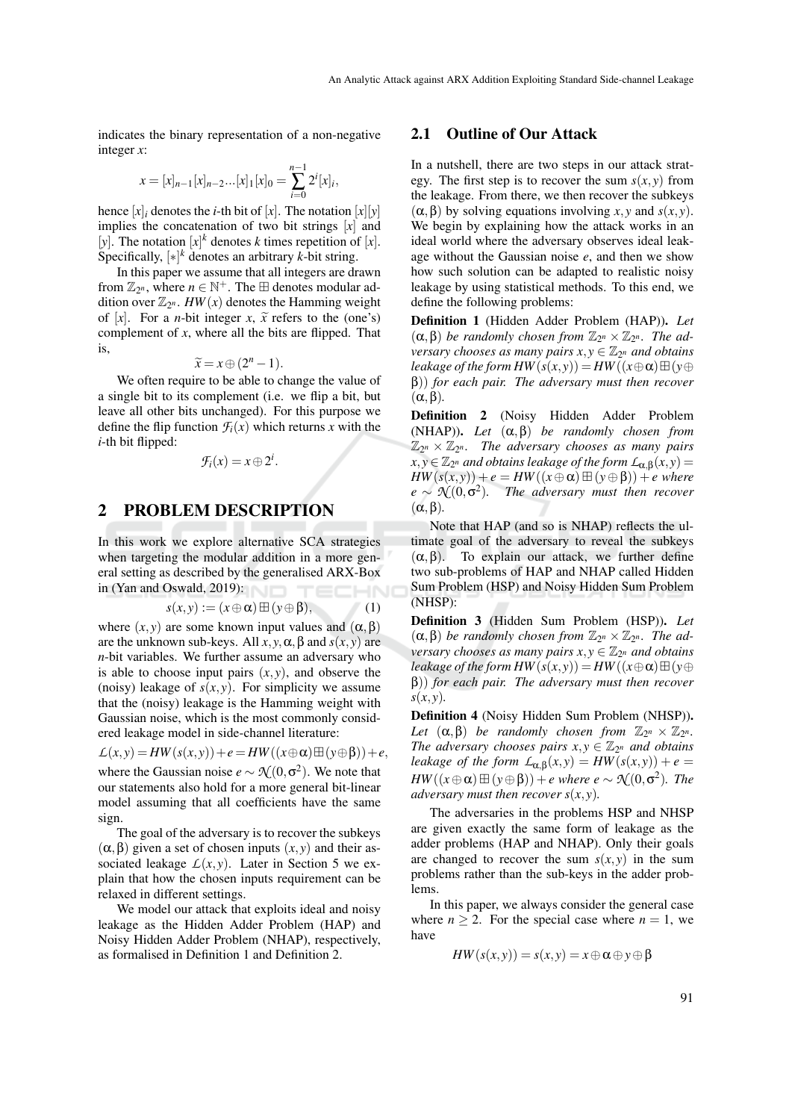indicates the binary representation of a non-negative integer *x*:

$$
x = [x]_{n-1}[x]_{n-2}...[x]_1[x]_0 = \sum_{i=0}^{n-1} 2^i [x]_i,
$$

hence  $[x]_i$  denotes the *i*-th bit of  $[x]$ . The notation  $[x][y]$ implies the concatenation of two bit strings [*x*] and [*y*]. The notation  $[x]^k$  denotes *k* times repetition of [*x*]. Specifically,  $[*]^k$  denotes an arbitrary *k*-bit string.

In this paper we assume that all integers are drawn from  $\mathbb{Z}_{2^n}$ , where  $n \in \mathbb{N}^+$ . The  $\boxplus$  denotes modular addition over  $\mathbb{Z}_{2^n}$ .  $HW(x)$  denotes the Hamming weight of [x]. For a *n*-bit integer *x*,  $\tilde{x}$  refers to the (one's) complement of *x*, where all the bits are flipped. That is,

$$
\widetilde{x} = x \oplus (2^n - 1).
$$

 $\tilde{x} = x \oplus (2^n - 1)$ .<br>We often require to be able to change the value of a single bit to its complement (i.e. we flip a bit, but leave all other bits unchanged). For this purpose we define the flip function  $\mathcal{F}_i(x)$  which returns *x* with the *i*-th bit flipped:

$$
\mathcal{F}_i(x) = x \oplus 2^i.
$$

### 2 PROBLEM DESCRIPTION

In this work we explore alternative SCA strategies when targeting the modular addition in a more general setting as described by the generalised ARX-Box in (Yan and Oswald, 2019):

$$
s(x, y) := (x \oplus \alpha) \boxplus (y \oplus \beta), \tag{1}
$$

where  $(x, y)$  are some known input values and  $(\alpha, \beta)$ are the unknown sub-keys. All  $x, y, \alpha, \beta$  and  $s(x, y)$  are *n*-bit variables. We further assume an adversary who is able to choose input pairs  $(x, y)$ , and observe the (noisy) leakage of  $s(x, y)$ . For simplicity we assume that the (noisy) leakage is the Hamming weight with Gaussian noise, which is the most commonly considered leakage model in side-channel literature:

$$
\mathcal{L}(x, y) = HW(s(x, y)) + e = HW((x \oplus \alpha) \boxplus (y \oplus \beta)) + e,
$$
  
where the Gaussian noise  $e \sim \mathcal{N}(0, \sigma^2)$ . We note that  
our statements also hold for a more general bit-linear

our statements also hold for a more general bit-linear model assuming that all coefficients have the same sign.

The goal of the adversary is to recover the subkeys (α,β) given a set of chosen inputs (*x*, *y*) and their associated leakage  $L(x, y)$ . Later in Section 5 we explain that how the chosen inputs requirement can be relaxed in different settings.

We model our attack that exploits ideal and noisy leakage as the Hidden Adder Problem (HAP) and Noisy Hidden Adder Problem (NHAP), respectively, as formalised in Definition 1 and Definition 2.

#### 2.1 Outline of Our Attack

In a nutshell, there are two steps in our attack strategy. The first step is to recover the sum  $s(x, y)$  from the leakage. From there, we then recover the subkeys (α,β) by solving equations involving *x*, *y* and *s*(*x*, *y*). We begin by explaining how the attack works in an ideal world where the adversary observes ideal leakage without the Gaussian noise *e*, and then we show how such solution can be adapted to realistic noisy leakage by using statistical methods. To this end, we define the following problems:

Definition 1 (Hidden Adder Problem (HAP)). *Let*  $(\alpha, \beta)$  *be randomly chosen from*  $\mathbb{Z}_{2^n} \times \mathbb{Z}_{2^n}$ *. The adversary chooses as many pairs*  $x, y \in \mathbb{Z}_{2^n}$  *and obtains leakage of the form HW* $(s(x, y)) = HW((x \oplus \alpha) \boxplus (y \oplus$ β)) *for each pair. The adversary must then recover* (α,β)*.*

Definition 2 (Noisy Hidden Adder Problem (NHAP)). *Let* (α,β) *be randomly chosen from*  $\mathbb{Z}_{2^n}\times \mathbb{Z}_{2^n}$ . The adversary chooses as many pairs  $x, y \in \mathbb{Z}_{2^n}$  *and obtains leakage of the form*  $L_{\alpha, \beta}(x, y) =$  $HW(s(x, y)) + e = HW((x \oplus \alpha) \boxplus (y \oplus \beta)) + e$  where  $e \sim \mathcal{N}(0,\sigma^2)$ . The adversary must then recover (α,β)*.*

Note that HAP (and so is NHAP) reflects the ultimate goal of the adversary to reveal the subkeys  $(\alpha, \beta)$ . To explain our attack, we further define two sub-problems of HAP and NHAP called Hidden Sum Problem (HSP) and Noisy Hidden Sum Problem (NHSP):

Definition 3 (Hidden Sum Problem (HSP)). *Let*  $(\alpha, \beta)$  *be randomly chosen from*  $\mathbb{Z}_{2^n} \times \mathbb{Z}_{2^n}$ *. The adversary chooses as many pairs*  $x, y \in \mathbb{Z}_{2^n}$  *and obtains leakage of the form HW* $(s(x, y)) = HW((x \oplus \alpha) \boxplus (y \oplus$ β)) *for each pair. The adversary must then recover s*(*x*, *y*)*.*

Definition 4 (Noisy Hidden Sum Problem (NHSP)). Let  $(\alpha, \beta)$  be randomly chosen from  $\mathbb{Z}_{2^n} \times \mathbb{Z}_{2^n}$ . *The adversary chooses pairs*  $x, y \in \mathbb{Z}_{2^n}$  *and obtains leakage of the form*  $L_{\alpha,\beta}(x,y) = HW(s(x,y)) + e$  =  $HW((x \oplus \alpha) \boxplus (y \oplus \beta)) + e$  where  $e \sim \mathcal{N}(0, \sigma^2)$ *. The adversary must then recover s*(*x*, *y*)*.*

The adversaries in the problems HSP and NHSP are given exactly the same form of leakage as the adder problems (HAP and NHAP). Only their goals are changed to recover the sum  $s(x, y)$  in the sum problems rather than the sub-keys in the adder problems.

In this paper, we always consider the general case where  $n \geq 2$ . For the special case where  $n = 1$ , we have

$$
HW(s(x, y)) = s(x, y) = x \oplus \alpha \oplus y \oplus \beta
$$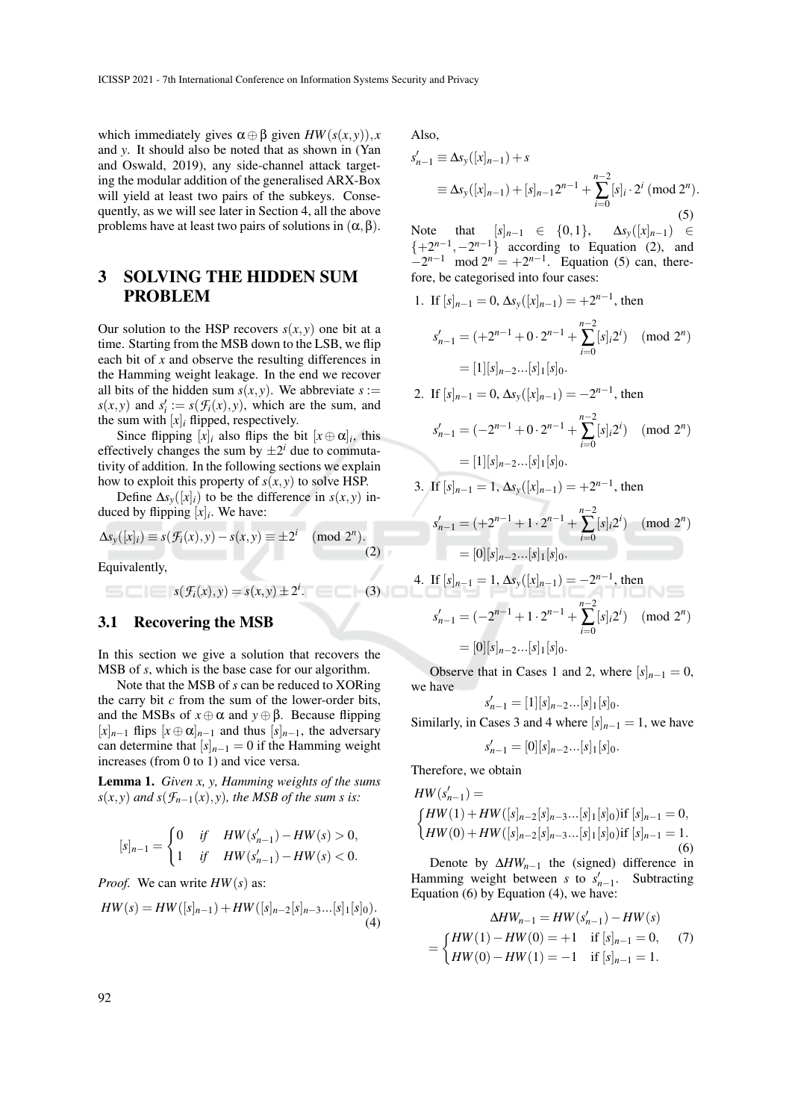which immediately gives  $\alpha \oplus \beta$  given  $HW(s(x, y))$ , *x* and *y*. It should also be noted that as shown in (Yan and Oswald, 2019), any side-channel attack targeting the modular addition of the generalised ARX-Box will yield at least two pairs of the subkeys. Consequently, as we will see later in Section 4, all the above problems have at least two pairs of solutions in  $(α, β)$ .

## 3 SOLVING THE HIDDEN SUM PROBLEM

Our solution to the HSP recovers  $s(x, y)$  one bit at a time. Starting from the MSB down to the LSB, we flip each bit of *x* and observe the resulting differences in the Hamming weight leakage. In the end we recover all bits of the hidden sum  $s(x, y)$ . We abbreviate  $s :=$  $s(x, y)$  and  $s'_i := s(f_i(x), y)$ , which are the sum, and the sum with  $[x]$ *i* flipped, respectively.

Since flipping  $[x]_i$  also flips the bit  $[x \oplus \alpha]_i$ , this effectively changes the sum by  $\pm 2^i$  due to commutativity of addition. In the following sections we explain how to exploit this property of  $s(x, y)$  to solve HSP.

Define  $\Delta s_y(|x|)$  to be the difference in  $s(x, y)$  induced by flipping  $[x]_i$ . We have:

$$
\Delta s_{\mathcal{Y}}([x]_i) \equiv s(\mathcal{F}_i(x), y) - s(x, y) \equiv \pm 2^i \pmod{2^n}.
$$
\n(2)

Equivalently,

$$
\blacksquare = \blacksquare = s(\mathcal{F}_i(x), y) = s(x, y) \pm 2^i.
$$

### 3.1 Recovering the MSB

In this section we give a solution that recovers the MSB of *s*, which is the base case for our algorithm.

Note that the MSB of *s* can be reduced to XORing the carry bit *c* from the sum of the lower-order bits, and the MSBs of  $x \oplus \alpha$  and  $y \oplus \beta$ . Because flipping [*x*]*n*−<sup>1</sup> flips [*x* ⊕ α]*n*−<sup>1</sup> and thus [*s*]*n*−1, the adversary can determine that  $[s]_{n-1} = 0$  if the Hamming weight increases (from 0 to 1) and vice versa.

Lemma 1. *Given x, y, Hamming weights of the sums*  $s(x, y)$  *and*  $s(\mathcal{F}_{n-1}(x), y)$ *, the MSB of the sum s is:* 

$$
[s]_{n-1} = \begin{cases} 0 & \text{if} \quad HW(s'_{n-1}) - HW(s) > 0, \\ 1 & \text{if} \quad HW(s'_{n-1}) - HW(s) < 0. \end{cases}
$$

*Proof.* We can write *HW*(*s*) as:

$$
HW(s) = HW([s]_{n-1}) + HW([s]_{n-2}[s]_{n-3}...[s]_1[s]_0).
$$
\n(4)

Also,

$$
s'_{n-1} \equiv \Delta s_y([x]_{n-1}) + s
$$
  
\n
$$
\equiv \Delta s_y([x]_{n-1}) + [s]_{n-1}2^{n-1} + \sum_{i=0}^{n-2} [s]_i \cdot 2^i \pmod{2^n}.
$$
\n(5)

Note that  $[s]_{n-1} \in \{0,1\}, \Delta s_y([x]_{n-1}) \in$  $\{+2^{n-1}, -2^{n-1}\}$  according to Equation (2), and  $-2^{n-1}$  mod  $2^n = +2^{n-1}$ . Equation (5) can, therefore, be categorised into four cases:

1. If 
$$
[s]_{n-1} = 0
$$
,  $\Delta s_y([x]_{n-1}) = +2^{n-1}$ , then  
\n
$$
s'_{n-1} = (+2^{n-1} + 0 \cdot 2^{n-1} + \sum_{i=0}^{n-2} [s]_i 2^i) \pmod{2^n}
$$
\n
$$
= [1] [s]_{n-2} ... [s]_1 [s]_0.
$$

2. If 
$$
[s]_{n-1} = 0
$$
,  $\Delta s_y([x]_{n-1}) = -2^{n-1}$ , then

$$
s'_{n-1} = (-2^{n-1} + 0 \cdot 2^{n-1} + \sum_{i=0}^{n-2} [s]_i 2^i) \pmod{2^n}
$$

$$
= [1][s]_{n-2}...[s]_1[s]_0.
$$

3. If 
$$
[s]_{n-1} = 1
$$
,  $\Delta s_y([x]_{n-1}) = +2^{n-1}$ , then  
\n
$$
s'_{n-1} = (+2^{n-1} + 1 \cdot 2^{n-1} + \sum_{i=0}^{n-2} [s]_i 2^i) \pmod{2^n}
$$
\n
$$
= [0][s]_{n-2}...[s]_1[s]_0.
$$

4. If 
$$
[s]_{n-1} = 1
$$
,  $\Delta s_y([x]_{n-1}) = -2^{n-1}$ , then  
\n
$$
s'_{n-1} = (-2^{n-1} + 1 \cdot 2^{n-1} + \sum_{i=0}^{n-2} [s]_i 2^i) \pmod{2^n}
$$
\n
$$
= [0][s]_{n-2}...[s]_1[s]_0.
$$

Observe that in Cases 1 and 2, where  $[s]_{n-1} = 0$ , we have

$$
s'_{n-1} = [1][s]_{n-2}...[s]_1[s]_0.
$$

Similarly, in Cases 3 and 4 where  $[s]_{n-1} = 1$ , we have

$$
s'_{n-1} = [0][s]_{n-2}...[s]_1[s]_0.
$$

Therefore, we obtain

 $(3)$ 

$$
HW(s'_{n-1}) =
$$
  
\n
$$
\begin{cases}\nHW(1) + HW([s]_{n-2}[s]_{n-3}...[s]_1[s]_0) \text{if } [s]_{n-1} = 0, \\
HW(0) + HW([s]_{n-2}[s]_{n-3}...[s]_1[s]_0) \text{if } [s]_{n-1} = 1.\n\end{cases}
$$
(6)

Denote by ∆*HWn*−<sup>1</sup> the (signed) difference in Hamming weight between *s* to  $s'_{n-1}$ . Subtracting Equation (6) by Equation (4), we have:

$$
\Delta HW_{n-1} = HW(s'_{n-1}) - HW(s)
$$
  
= 
$$
\begin{cases} HW(1) - HW(0) = +1 & \text{if } [s]_{n-1} = 0, \\ HW(0) - HW(1) = -1 & \text{if } [s]_{n-1} = 1. \end{cases}
$$
 (7)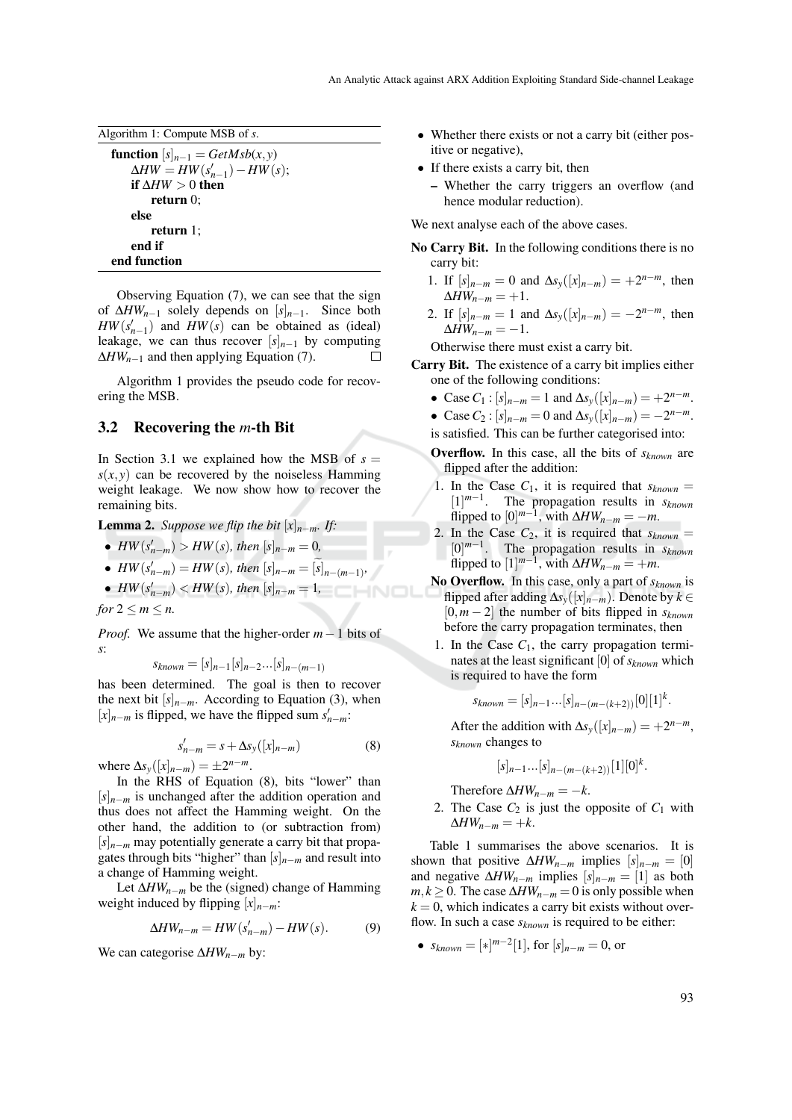Algorithm 1: Compute MSB of *s*.

function  $[s]_{n-1} = GetMsb(x, y)$  $\Delta HW = HW(s'_{n-1}) - HW(s);$ if  $\Delta HW > 0$  then return 0; else return 1; end if end function

Observing Equation (7), we can see that the sign of ∆*HWn*−<sup>1</sup> solely depends on [*s*]*n*−1. Since both  $HW(s'_{n-1})$  and  $HW(s)$  can be obtained as (ideal) leakage, we can thus recover  $[s]_{n-1}$  by computing ∆*HWn*−<sup>1</sup> and then applying Equation (7).  $\Box$ 

Algorithm 1 provides the pseudo code for recovering the MSB.

#### 3.2 Recovering the *m*-th Bit

In Section 3.1 we explained how the MSB of  $s =$  $s(x, y)$  can be recovered by the noiseless Hamming weight leakage. We now show how to recover the remaining bits.

**Lemma 2.** *Suppose we flip the bit*  $[x]_{n-m}$ *. If:* 

- $HW(s'_{n-m}) > HW(s)$ , then  $[s]_{n-m} = 0$ ,
- *HW*( $s'_{n-m}$ ) = *HW*( $s$ ), *then*  $[s]_{n-m} = [s]_{n-(m-1)}$ ,
- $HW(s'_{n-m}) < HW(s)$ , then  $[s]_{n-m} = 1$ ,

*for*  $2 \le m \le n$ .

*Proof.* We assume that the higher-order *m*−1 bits of *s*:

$$
s_{known} = [s]_{n-1} [s]_{n-2} ... [s]_{n-(m-1)}
$$

has been determined. The goal is then to recover the next bit  $[s]_{n-m}$ . According to Equation (3), when [*]<sub><i>n*−*m*</sub> is flipped, we have the flipped sum  $s'_{n-m}$ :

$$
s'_{n-m} = s + \Delta s_{y}([x]_{n-m})
$$
\n(8)

 $\Delta s_y([x]_{n-m}) = \pm 2^{n-m}.$ 

In the RHS of Equation (8), bits "lower" than [*s*]*n*−*<sup>m</sup>* is unchanged after the addition operation and thus does not affect the Hamming weight. On the other hand, the addition to (or subtraction from) [*s*]*n*−*<sup>m</sup>* may potentially generate a carry bit that propagates through bits "higher" than  $[s]_{n-m}$  and result into a change of Hamming weight.

Let ∆*HWn*−*<sup>m</sup>* be the (signed) change of Hamming weight induced by flipping [*x*]*n*−*m*:

$$
\Delta HW_{n-m} = HW(s'_{n-m}) - HW(s). \tag{9}
$$

We can categorise ∆*HWn*−*<sup>m</sup>* by:

- Whether there exists or not a carry bit (either positive or negative),
- If there exists a carry bit, then
	- Whether the carry triggers an overflow (and hence modular reduction).

We next analyse each of the above cases.

- No Carry Bit. In the following conditions there is no carry bit:
	- 1. If  $[s]_{n-m} = 0$  and  $\Delta s_y([x]_{n-m}) = +2^{n-m}$ , then  $\Delta H W_{n-m} = +1.$
	- 2. If  $[s]_{n-m} = 1$  and  $\Delta s_y([x]_{n-m}) = -2^{n-m}$ , then  $\Delta H W_{n-m} = -1.$

Otherwise there must exist a carry bit.

- Carry Bit. The existence of a carry bit implies either one of the following conditions:
	- Case  $C_1$  :  $[s]_{n-m} = 1$  and  $\Delta s_y([x]_{n-m}) = +2^{n-m}$ .
	- Case  $C_2$  :  $[s]_{n-m} = 0$  and  $\Delta s_y([x]_{n-m}) = -2^{n-m}$ .
	- is satisfied. This can be further categorised into:
	- Overflow. In this case, all the bits of *sknown* are flipped after the addition:
	- 1. In the Case  $C_1$ , it is required that  $s_{known}$  = [1] *m*−1 . The propagation results in *sknown* flipped to  $[0]^{m-1}$ , with  $\Delta HW_{n-m} = -m$ .
	- 2. In the Case  $C_2$ , it is required that  $s_{known}$  = [0] *m*−1 . The propagation results in *sknown* flipped to  $[1]^{m-1}$ , with  $\Delta HW_{n-m} = +m$ .
	- No Overflow. In this case, only a part of *sknown* is flipped after adding ∆*sy*([*x*]*n*−*m*). Denote by *k* ∈ [0,*m* − 2] the number of bits flipped in *sknown* before the carry propagation terminates, then
	- 1. In the Case  $C_1$ , the carry propagation terminates at the least significant [0] of *sknown* which is required to have the form

$$
s_{known} = [s]_{n-1} \dots [s]_{n-(m-(k+2))} [0][1]^k.
$$

After the addition with  $\Delta s_y([x]_{n-m}) = +2^{n-m}$ , *sknown* changes to

$$
[s]_{n-1} \dots [s]_{n-(m-(k+2))} [1] [0]^k.
$$

Therefore  $\Delta H W_{n-m} = -k$ .

2. The Case  $C_2$  is just the opposite of  $C_1$  with  $\Delta H W_{n-m} = +k.$ 

Table 1 summarises the above scenarios. It is shown that positive  $\Delta H W_{n-m}$  implies  $[s]_{n-m} = [0]$ and negative  $\Delta H W_{n-m}$  implies  $[s]_{n-m} = [1]$  as both *m*,  $k \ge 0$ . The case  $\Delta H W_{n-m} = 0$  is only possible when  $k = 0$ , which indicates a carry bit exists without overflow. In such a case *sknown* is required to be either:

•  $s_{known} = [\ast]^{m-2}[1]$ , for  $[s]_{n-m} = 0$ , or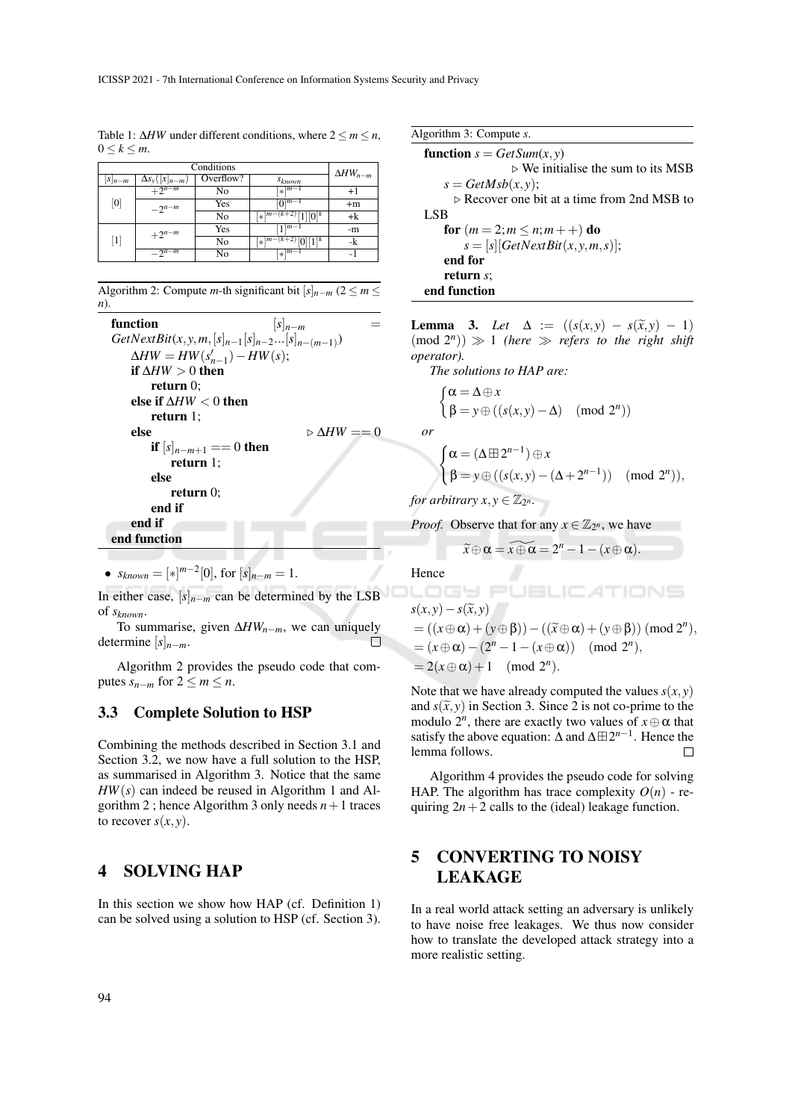Table 1:  $\Delta HW$  under different conditions, where  $2 \le m \le n$ ,  $0 \leq k \leq m$ .

|                           | $\Delta HW_{n-m}$                       |           |                                                |      |
|---------------------------|-----------------------------------------|-----------|------------------------------------------------|------|
| $\lbrack S \rbrack_{n-m}$ | $\Delta s_{v}(\lfloor x \rfloor_{n-m})$ | Overflow? | <i>Sknown</i>                                  |      |
| [0]                       | $+2^{n-m}$                              | No        | $\lceil k \rceil^{m-1}$                        | $+1$ |
|                           | $-2^{n-m}$                              | Yes       | $[0]^{m-1}$                                    | $+m$ |
|                           |                                         | No        | $[x]$ <sup>m-<math>(k+</math></sup><br>$[0]^k$ | +k   |
| $\lceil 1 \rceil$         | $+2^{n-m}$                              | Yes       | $[1]^{m-1}$                                    | -m   |
|                           |                                         | No        | $[0][1]^{k}$<br>$[x]^{m-(k+2)}$                | -k   |
|                           | $-2^{n-\overline{m}}$                   | No        | $\frac{1}{k}$ $\boxed{m}$                      | -    |

|     | Algorithm 2: Compute <i>m</i> -th significant bit $[s]_{n-m}$ (2 $\leq m \leq$ |  |
|-----|--------------------------------------------------------------------------------|--|
| n). |                                                                                |  |

```
function [s]_{n-m}GetNextBit(x, y, m, [s]_{n-1}[s]_{n-2}...[s]_{n-(m-1)})\Delta HW = HW(s'_{n-1}) - HW(s);if \Delta HW > 0 then
       return 0;
   else if ∆HW < 0 then
       return 1;
   else \triangleright \Delta HW == 0if [s]_{n-m+1} == 0 then
          return 1;
       else
          return 0;
       end if
   end if
end function
```
•  $s_{known} = [*]^{m-2}[0]$ , for  $[s]_{n-m} = 1$ .

In either case,  $[s]_{n-m}$  can be determined by the LSB of *sknown*.

To summarise, given ∆*HWn*−*m*, we can uniquely determine [*s*]*n*−*m*.

Algorithm 2 provides the pseudo code that computes  $s_{n-m}$  for  $2 \le m \le n$ .

#### 3.3 Complete Solution to HSP

Combining the methods described in Section 3.1 and Section 3.2, we now have a full solution to the HSP, as summarised in Algorithm 3. Notice that the same *HW*(*s*) can indeed be reused in Algorithm 1 and Algorithm 2; hence Algorithm 3 only needs  $n+1$  traces to recover  $s(x, y)$ .

## 4 SOLVING HAP

In this section we show how HAP (cf. Definition 1) can be solved using a solution to HSP (cf. Section 3). Algorithm 3: Compute *s*.

function  $s = GetSum(x, y)$  $\triangleright$  We initialise the sum to its MSB  $s = \frac{GetMsb(x, y)}{s}$  $\triangleright$  Recover one bit at a time from 2nd MSB to LSB for  $(m = 2; m \le n; m + +)$  do  $s = [s][GetNextBit(x, y, m, s)];$ end for return *s*; end function

**Lemma 3.** *Let*  $\Delta := ((s(x,y) - s(\tilde{x}, y) - 1))$  $(mod 2<sup>n</sup>)$   $\gg$  1 *(here*  $\gg$  *refers to the right shift operator).*

*The solutions to HAP are:*

$$
\begin{cases} \alpha = \Delta \oplus x \\ \beta = y \oplus ((s(x,y) - \Delta) \pmod{2^n}) \end{cases}
$$

*or*

$$
\begin{cases} \alpha = (\Delta \boxplus 2^{n-1}) \oplus x \\ \beta = y \oplus ((s(x,y) - (\Delta + 2^{n-1})) \pmod{2^n}), \end{cases}
$$

*for arbitrary*  $x, y \in \mathbb{Z}_{2^n}$ .

*Proof.* Observe that for any  $x \in \mathbb{Z}_{2^n}$ , we have

$$
\widetilde{x} \oplus \alpha = \widetilde{x \oplus \alpha} = 2^n - 1 - (x \oplus \alpha).
$$

Hence

$$
s(x,y) - s(\tilde{x},y)
$$
  
= ((x $\oplus \alpha$ ) + (y $\oplus \beta$ )) - ((\tilde{x} $\oplus \alpha$ ) + (y $\oplus \beta$ )) (mod 2<sup>n</sup>),  
= (x $\oplus \alpha$ ) - (2<sup>n</sup> - 1 - (x $\oplus \alpha$ )) (mod 2<sup>n</sup>),  
= 2(x $\oplus \alpha$ ) + 1 (mod 2<sup>n</sup>).

Note that we have already computed the values  $s(x, y)$ and  $s(\tilde{x}, y)$  in Section 3. Since 2 is not co-prime to the modulo  $2^n$ , there are exactly two values of  $x \oplus \alpha$  that satisfy the above equation:  $\Delta$  and  $\Delta \boxplus 2^{n-1}$ . Hence the lemma follows.  $\Box$ 

Algorithm 4 provides the pseudo code for solving HAP. The algorithm has trace complexity  $O(n)$  - requiring  $2n+2$  calls to the (ideal) leakage function.

## 5 CONVERTING TO NOISY LEAKAGE

In a real world attack setting an adversary is unlikely to have noise free leakages. We thus now consider how to translate the developed attack strategy into a more realistic setting.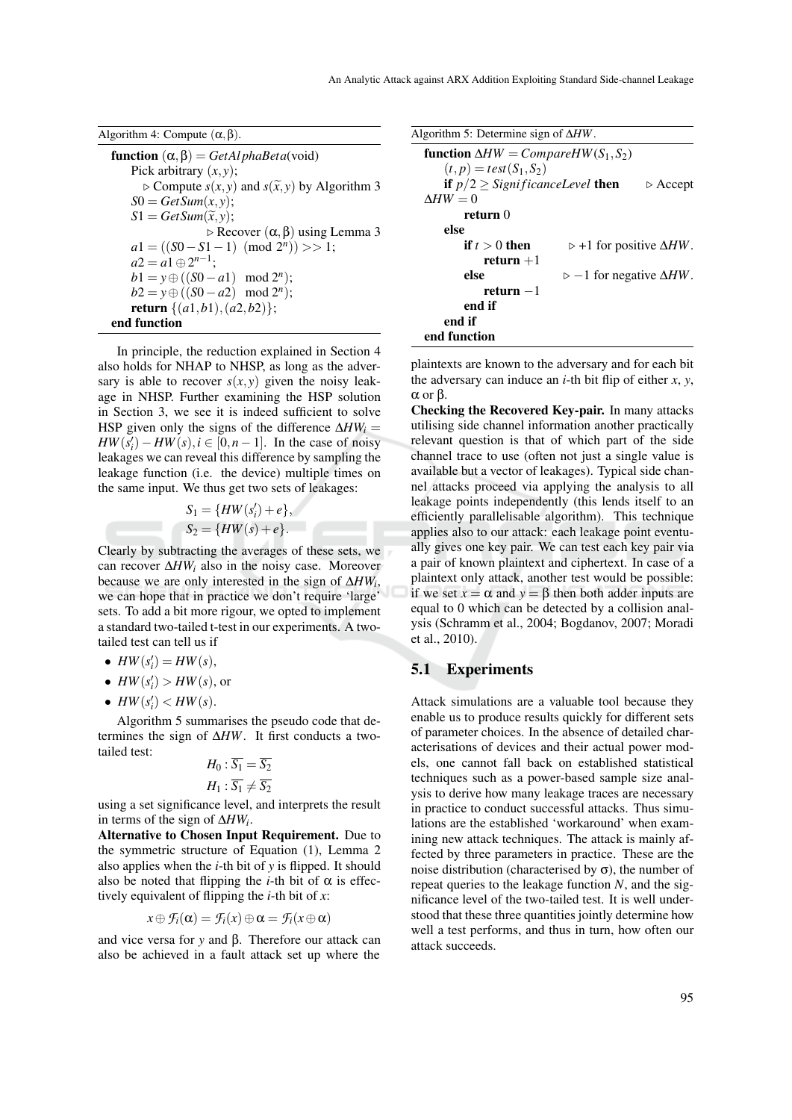| Algorithm 4: Compute $(\alpha, \beta)$ .                                |
|-------------------------------------------------------------------------|
| <b>function</b> $(\alpha, \beta) = GetAlphabeta(void)$                  |
| Pick arbitrary $(x, y)$ ;                                               |
| $\triangleright$ Compute $s(x, y)$ and $s(\tilde{x}, y)$ by Algorithm 3 |
| $S0 = GetSum(x, y);$                                                    |
| $S1 = GetSum(\tilde{x}, y);$                                            |
| $\triangleright$ Recover $(\alpha, \beta)$ using Lemma 3                |
| $a1 = ((50 - S1 - 1) \pmod{2^n}) >> 1;$                                 |
| $a2 = a1 \oplus 2^{n-1}$                                                |
| $b1 = y \oplus ((S0 - a1) \mod 2^n);$                                   |
| $b2 = y \oplus ((50 - a2) \mod 2^n);$                                   |
| <b>return</b> $\{(a1,b1), (a2,b2)\};$                                   |
| end function                                                            |

In principle, the reduction explained in Section 4 also holds for NHAP to NHSP, as long as the adversary is able to recover  $s(x, y)$  given the noisy leakage in NHSP. Further examining the HSP solution in Section 3, we see it is indeed sufficient to solve HSP given only the signs of the difference  $\Delta HW_i =$  $HW(\overline{s_i'}) - HW(s), i \in [0, n-1]$ . In the case of noisy leakages we can reveal this difference by sampling the leakage function (i.e. the device) multiple times on the same input. We thus get two sets of leakages:

$$
S_1 = \{HW(s'_i) + e\},
$$
  
\n
$$
S_2 = \{HW(s) + e\}.
$$

Clearly by subtracting the averages of these sets, we can recover ∆*HW<sup>i</sup>* also in the noisy case. Moreover because we are only interested in the sign of ∆*HW<sup>i</sup>* , we can hope that in practice we don't require 'large' sets. To add a bit more rigour, we opted to implement a standard two-tailed t-test in our experiments. A twotailed test can tell us if

- $HW(s'_i) = HW(s)$ ,
- $HW(s'_i) > HW(s)$ , or
- $HW(s'_i) < HW(s)$ .

Algorithm 5 summarises the pseudo code that determines the sign of ∆*HW*. It first conducts a twotailed test:

$$
H_0: \overline{S_1} = \overline{S_2}
$$
  

$$
H_1: \overline{S_1} \neq \overline{S_2}
$$

using a set significance level, and interprets the result in terms of the sign of ∆*HW<sup>i</sup>* .

Alternative to Chosen Input Requirement. Due to the symmetric structure of Equation (1), Lemma 2 also applies when the *i*-th bit of *y* is flipped. It should also be noted that flipping the *i*-th bit of  $\alpha$  is effectively equivalent of flipping the *i*-th bit of *x*:

$$
x \oplus \mathcal{F}_i(\alpha) = \mathcal{F}_i(x) \oplus \alpha = \mathcal{F}_i(x \oplus \alpha)
$$

and vice versa for *y* and β. Therefore our attack can also be achieved in a fault attack set up where the

| Algorithm 5: Determine sign of $\Delta HW$ .              |                                                |                         |  |  |  |
|-----------------------------------------------------------|------------------------------------------------|-------------------------|--|--|--|
| <b>function</b> $\Delta HW = CompareHW(S_1, S_2)$         |                                                |                         |  |  |  |
| $(t, p) = test(S_1, S_2)$                                 |                                                |                         |  |  |  |
| <b>if</b> $p/2 \geq$ <i>SignificanceLevel</i> <b>then</b> |                                                | $\triangleright$ Accept |  |  |  |
| $\Delta HW = 0$                                           |                                                |                         |  |  |  |
| return ()                                                 |                                                |                         |  |  |  |
| else                                                      |                                                |                         |  |  |  |
| if $t > 0$ then                                           | $\triangleright$ +1 for positive $\Delta HW$ . |                         |  |  |  |
| $return +1$                                               |                                                |                         |  |  |  |
| else                                                      | $\rhd$ -1 for negative $\Delta HW$ .           |                         |  |  |  |
| return $-1$                                               |                                                |                         |  |  |  |
| end if                                                    |                                                |                         |  |  |  |
| end if                                                    |                                                |                         |  |  |  |
| end function                                              |                                                |                         |  |  |  |

plaintexts are known to the adversary and for each bit the adversary can induce an *i*-th bit flip of either *x*, *y*, α or β.

Checking the Recovered Key-pair. In many attacks utilising side channel information another practically relevant question is that of which part of the side channel trace to use (often not just a single value is available but a vector of leakages). Typical side channel attacks proceed via applying the analysis to all leakage points independently (this lends itself to an efficiently parallelisable algorithm). This technique applies also to our attack: each leakage point eventually gives one key pair. We can test each key pair via a pair of known plaintext and ciphertext. In case of a plaintext only attack, another test would be possible: if we set  $x = \alpha$  and  $y = \beta$  then both adder inputs are equal to 0 which can be detected by a collision analysis (Schramm et al., 2004; Bogdanov, 2007; Moradi et al., 2010).

#### 5.1 Experiments

Attack simulations are a valuable tool because they enable us to produce results quickly for different sets of parameter choices. In the absence of detailed characterisations of devices and their actual power models, one cannot fall back on established statistical techniques such as a power-based sample size analysis to derive how many leakage traces are necessary in practice to conduct successful attacks. Thus simulations are the established 'workaround' when examining new attack techniques. The attack is mainly affected by three parameters in practice. These are the noise distribution (characterised by  $\sigma$ ), the number of repeat queries to the leakage function *N*, and the significance level of the two-tailed test. It is well understood that these three quantities jointly determine how well a test performs, and thus in turn, how often our attack succeeds.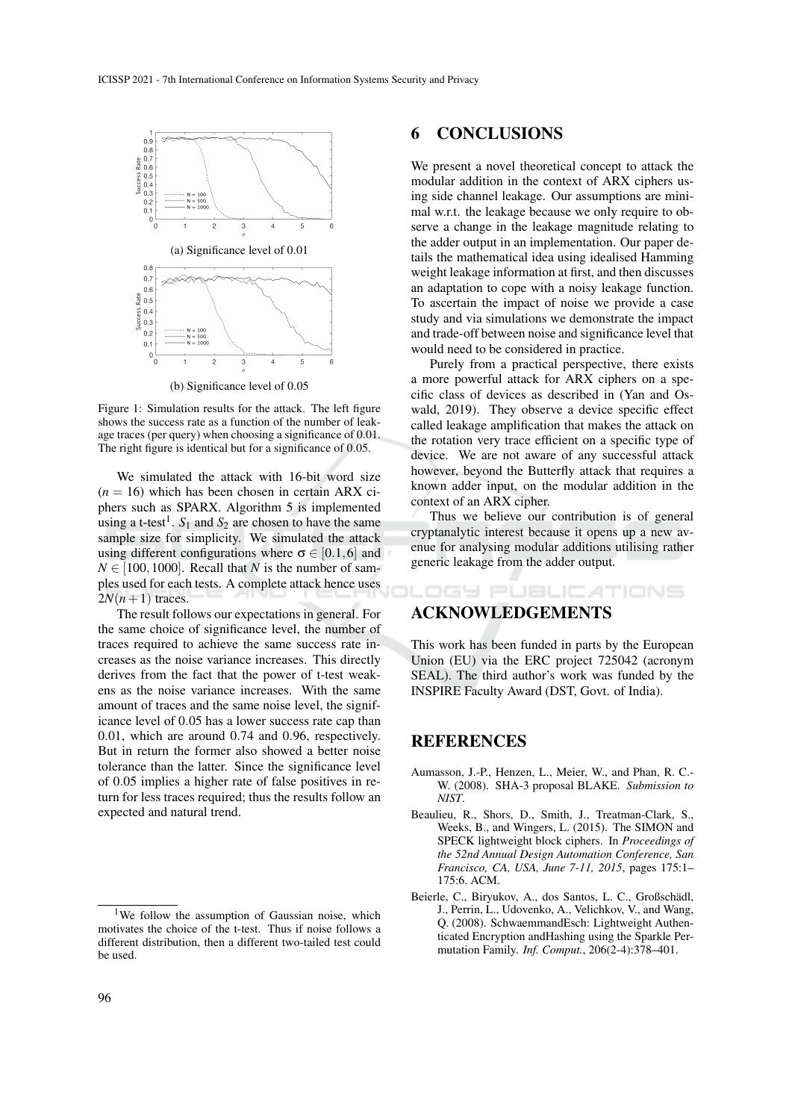

(b) Significance level of 0.05

Figure 1: Simulation results for the attack. The left figure shows the success rate as a function of the number of leakage traces (per query) when choosing a significance of 0.01. The right figure is identical but for a significance of 0.05.

We simulated the attack with 16-bit word size  $(n = 16)$  which has been chosen in certain ARX ciphers such as SPARX. Algorithm 5 is implemented using a t-test<sup>1</sup>.  $S_1$  and  $S_2$  are chosen to have the same sample size for simplicity. We simulated the attack using different configurations where  $\sigma \in [0.1, 6]$  and  $N \in [100, 1000]$ . Recall that *N* is the number of samples used for each tests. A complete attack hence uses  $2N(n+1)$  traces.

The result follows our expectations in general. For the same choice of significance level, the number of traces required to achieve the same success rate increases as the noise variance increases. This directly derives from the fact that the power of t-test weakens as the noise variance increases. With the same amount of traces and the same noise level, the significance level of 0.05 has a lower success rate cap than 0.01, which are around 0.74 and 0.96, respectively. But in return the former also showed a better noise tolerance than the latter. Since the significance level of 0.05 implies a higher rate of false positives in return for less traces required; thus the results follow an expected and natural trend.

### 6 CONCLUSIONS

We present a novel theoretical concept to attack the modular addition in the context of ARX ciphers using side channel leakage. Our assumptions are minimal w.r.t. the leakage because we only require to observe a change in the leakage magnitude relating to the adder output in an implementation. Our paper details the mathematical idea using idealised Hamming weight leakage information at first, and then discusses an adaptation to cope with a noisy leakage function. To ascertain the impact of noise we provide a case study and via simulations we demonstrate the impact and trade-off between noise and significance level that would need to be considered in practice.

Purely from a practical perspective, there exists a more powerful attack for ARX ciphers on a specific class of devices as described in (Yan and Oswald, 2019). They observe a device specific effect called leakage amplification that makes the attack on the rotation very trace efficient on a specific type of device. We are not aware of any successful attack however, beyond the Butterfly attack that requires a known adder input, on the modular addition in the context of an ARX cipher.

Thus we believe our contribution is of general cryptanalytic interest because it opens up a new avenue for analysing modular additions utilising rather generic leakage from the adder output.

OGY PUBLICATIONS

### ACKNOWLEDGEMENTS

This work has been funded in parts by the European Union (EU) via the ERC project 725042 (acronym SEAL). The third author's work was funded by the INSPIRE Faculty Award (DST, Govt. of India).

### REFERENCES

- Aumasson, J.-P., Henzen, L., Meier, W., and Phan, R. C.- W. (2008). SHA-3 proposal BLAKE. *Submission to NIST*.
- Beaulieu, R., Shors, D., Smith, J., Treatman-Clark, S., Weeks, B., and Wingers, L. (2015). The SIMON and SPECK lightweight block ciphers. In *Proceedings of the 52nd Annual Design Automation Conference, San Francisco, CA, USA, June 7-11, 2015*, pages 175:1– 175:6. ACM.
- Beierle, C., Biryukov, A., dos Santos, L. C., Großschädl, J., Perrin, L., Udovenko, A., Velichkov, V., and Wang, Q. (2008). SchwaemmandEsch: Lightweight Authenticated Encryption andHashing using the Sparkle Permutation Family. *Inf. Comput.*, 206(2-4):378–401.

<sup>&</sup>lt;sup>1</sup>We follow the assumption of Gaussian noise, which motivates the choice of the t-test. Thus if noise follows a different distribution, then a different two-tailed test could be used.